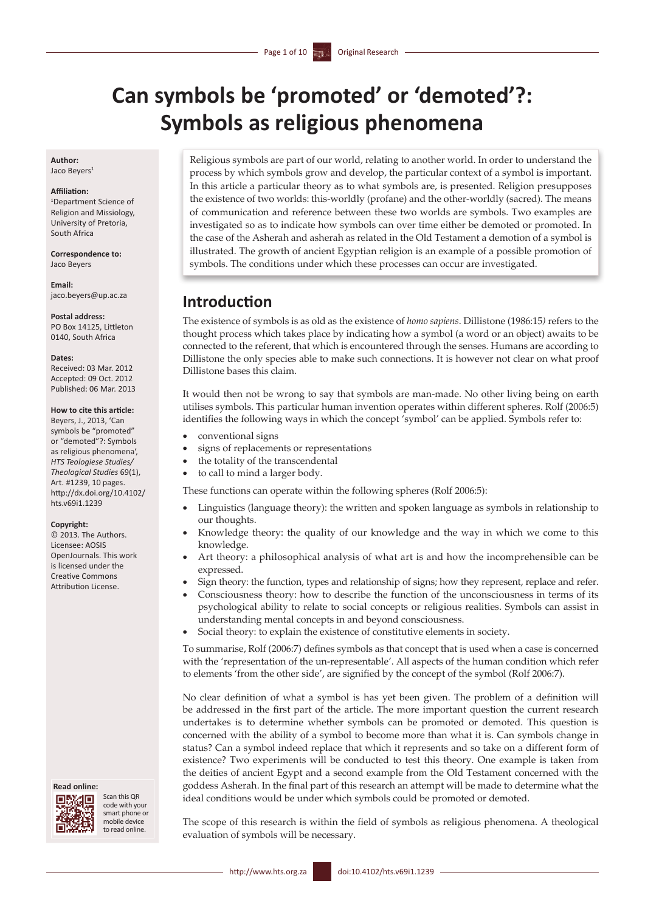# **Can symbols be 'promoted' or 'demoted'?: Symbols as religious phenomena**

**Author:**  Jaco Beyers<sup>1</sup>

#### **Affiliation:**

1 Department Science of Religion and Missiology, University of Pretoria, South Africa

**Correspondence to:** Jaco Beyers

**Email:** [jaco.beyers@up.ac.za](mailto:jaco.beyers@up.ac.za)

**Postal address:** PO Box 14125, Littleton 0140, South Africa

**Dates:**

Received: 03 Mar. 2012 Accepted: 09 Oct. 2012 Published: 06 Mar. 2013

#### **How to cite this article:**

Beyers, J., 2013, 'Can symbols be "promoted" or "demoted"?: Symbols as religious phenomena', *HTS Teologiese Studies/ Theological Studies* 69(1), Art. #1239, 10 pages. [http://dx.doi.org/10.4102/](http://dx.doi.org/10.4102/hts.v69i1.1239 ) [hts.v69i1.1239](http://dx.doi.org/10.4102/hts.v69i1.1239 )

#### **Copyright:**

© 2013. The Authors. Licensee: AOSIS OpenJournals. This work is licensed under the Creative Commons Attribution License.

#### **Read online:**



Scan this QR code with your smart phone or mobile device to read online.

Religious symbols are part of our world, relating to another world. In order to understand the process by which symbols grow and develop, the particular context of a symbol is important. In this article a particular theory as to what symbols are, is presented. Religion presupposes the existence of two worlds: this-worldly (profane) and the other-worldly (sacred). The means of communication and reference between these two worlds are symbols. Two examples are investigated so as to indicate how symbols can over time either be demoted or promoted. In the case of the Asherah and asherah as related in the Old Testament a demotion of a symbol is illustrated. The growth of ancient Egyptian religion is an example of a possible promotion of symbols. The conditions under which these processes can occur are investigated.

### **Introduction**

The existence of symbols is as old as the existence of *homo sapiens*. Dillistone (1986:15*)* refers to the thought process which takes place by indicating how a symbol (a word or an object) awaits to be connected to the referent, that which is encountered through the senses. Humans are according to Dillistone the only species able to make such connections. It is however not clear on what proof Dillistone bases this claim.

It would then not be wrong to say that symbols are man-made. No other living being on earth utilises symbols. This particular human invention operates within different spheres. Rolf (2006:5) identifies the following ways in which the concept 'symbol' can be applied. Symbols refer to:

- conventional signs
- signs of replacements or representations
- the totality of the transcendental
- to call to mind a larger body.

These functions can operate within the following spheres (Rolf 2006:5):

- Linguistics (language theory): the written and spoken language as symbols in relationship to our thoughts.
- Knowledge theory: the quality of our knowledge and the way in which we come to this knowledge.
- Art theory: a philosophical analysis of what art is and how the incomprehensible can be expressed.
- Sign theory: the function, types and relationship of signs; how they represent, replace and refer.
- Consciousness theory: how to describe the function of the unconsciousness in terms of its psychological ability to relate to social concepts or religious realities. Symbols can assist in understanding mental concepts in and beyond consciousness.
- Social theory: to explain the existence of constitutive elements in society.

To summarise, Rolf (2006:7) defines symbols as that concept that is used when a case is concerned with the 'representation of the un-representable'. All aspects of the human condition which refer to elements 'from the other side', are signified by the concept of the symbol (Rolf 2006:7).

No clear definition of what a symbol is has yet been given. The problem of a definition will be addressed in the first part of the article. The more important question the current research undertakes is to determine whether symbols can be promoted or demoted. This question is concerned with the ability of a symbol to become more than what it is. Can symbols change in status? Can a symbol indeed replace that which it represents and so take on a different form of existence? Two experiments will be conducted to test this theory. One example is taken from the deities of ancient Egypt and a second example from the Old Testament concerned with the goddess Asherah. In the final part of this research an attempt will be made to determine what the ideal conditions would be under which symbols could be promoted or demoted.

The scope of this research is within the field of symbols as religious phenomena. A theological evaluation of symbols will be necessary.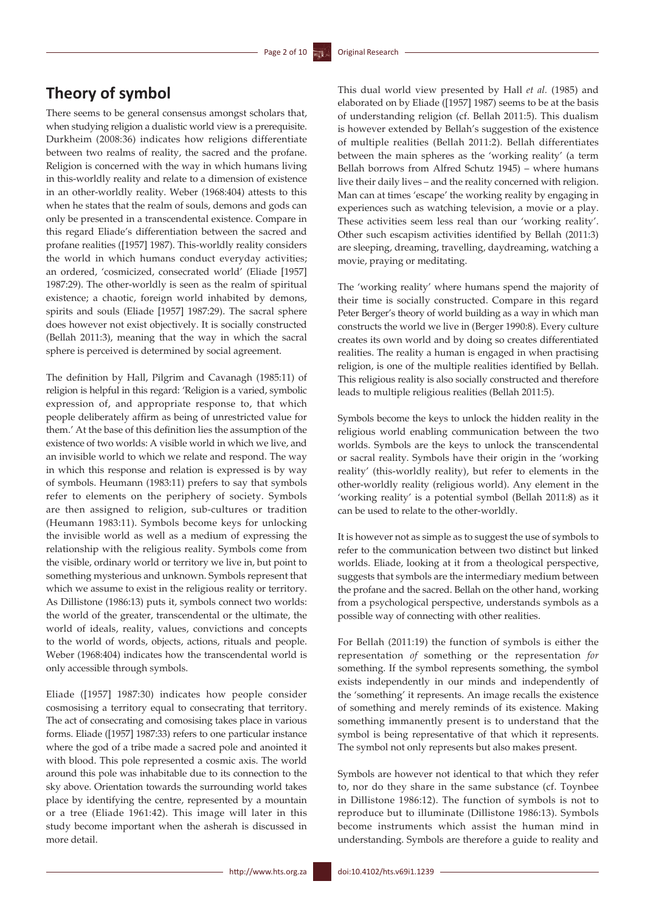# **Theory of symbol**

There seems to be general consensus amongst scholars that, when studying religion a dualistic world view is a prerequisite. Durkheim (2008:36) indicates how religions differentiate between two realms of reality, the sacred and the profane. Religion is concerned with the way in which humans living in this-worldly reality and relate to a dimension of existence in an other-worldly reality. Weber (1968:404) attests to this when he states that the realm of souls, demons and gods can only be presented in a transcendental existence. Compare in this regard Eliade's differentiation between the sacred and profane realities ([1957] 1987). This-worldly reality considers the world in which humans conduct everyday activities; an ordered, 'cosmicized, consecrated world' (Eliade [1957] 1987:29). The other-worldly is seen as the realm of spiritual existence; a chaotic, foreign world inhabited by demons, spirits and souls (Eliade [1957] 1987:29). The sacral sphere does however not exist objectively. It is socially constructed (Bellah 2011:3), meaning that the way in which the sacral sphere is perceived is determined by social agreement.

The definition by Hall, Pilgrim and Cavanagh (1985:11) of religion is helpful in this regard: 'Religion is a varied, symbolic expression of, and appropriate response to, that which people deliberately affirm as being of unrestricted value for them.' At the base of this definition lies the assumption of the existence of two worlds: A visible world in which we live, and an invisible world to which we relate and respond. The way in which this response and relation is expressed is by way of symbols. Heumann (1983:11) prefers to say that symbols refer to elements on the periphery of society. Symbols are then assigned to religion, sub-cultures or tradition (Heumann 1983:11). Symbols become keys for unlocking the invisible world as well as a medium of expressing the relationship with the religious reality. Symbols come from the visible, ordinary world or territory we live in, but point to something mysterious and unknown. Symbols represent that which we assume to exist in the religious reality or territory. As Dillistone (1986:13) puts it, symbols connect two worlds: the world of the greater, transcendental or the ultimate, the world of ideals, reality, values, convictions and concepts to the world of words, objects, actions, rituals and people. Weber (1968:404) indicates how the transcendental world is only accessible through symbols.

Eliade ([1957] 1987:30) indicates how people consider cosmosising a territory equal to consecrating that territory. The act of consecrating and comosising takes place in various forms. Eliade ([1957] 1987:33) refers to one particular instance where the god of a tribe made a sacred pole and anointed it with blood. This pole represented a cosmic axis. The world around this pole was inhabitable due to its connection to the sky above. Orientation towards the surrounding world takes place by identifying the centre, represented by a mountain or a tree (Eliade 1961:42). This image will later in this study become important when the asherah is discussed in more detail.

This dual world view presented by Hall *et al.* (1985) and elaborated on by Eliade ([1957] 1987) seems to be at the basis of understanding religion (cf. Bellah 2011:5). This dualism is however extended by Bellah's suggestion of the existence of multiple realities (Bellah 2011:2). Bellah differentiates between the main spheres as the 'working reality' (a term Bellah borrows from Alfred Schutz 1945) – where humans live their daily lives – and the reality concerned with religion. Man can at times 'escape' the working reality by engaging in experiences such as watching television, a movie or a play. These activities seem less real than our 'working reality'. Other such escapism activities identified by Bellah (2011:3) are sleeping, dreaming, travelling, daydreaming, watching a movie, praying or meditating.

The 'working reality' where humans spend the majority of their time is socially constructed. Compare in this regard Peter Berger's theory of world building as a way in which man constructs the world we live in (Berger 1990:8). Every culture creates its own world and by doing so creates differentiated realities. The reality a human is engaged in when practising religion, is one of the multiple realities identified by Bellah. This religious reality is also socially constructed and therefore leads to multiple religious realities (Bellah 2011:5).

Symbols become the keys to unlock the hidden reality in the religious world enabling communication between the two worlds. Symbols are the keys to unlock the transcendental or sacral reality. Symbols have their origin in the 'working reality' (this-worldly reality), but refer to elements in the other-worldly reality (religious world). Any element in the 'working reality' is a potential symbol (Bellah 2011:8) as it can be used to relate to the other-worldly.

It is however not as simple as to suggest the use of symbols to refer to the communication between two distinct but linked worlds. Eliade, looking at it from a theological perspective, suggests that symbols are the intermediary medium between the profane and the sacred. Bellah on the other hand, working from a psychological perspective, understands symbols as a possible way of connecting with other realities.

For Bellah (2011:19) the function of symbols is either the representation *of* something or the representation *for* something. If the symbol represents something, the symbol exists independently in our minds and independently of the 'something' it represents. An image recalls the existence of something and merely reminds of its existence. Making something immanently present is to understand that the symbol is being representative of that which it represents. The symbol not only represents but also makes present.

Symbols are however not identical to that which they refer to, nor do they share in the same substance (cf. Toynbee in Dillistone 1986:12). The function of symbols is not to reproduce but to illuminate (Dillistone 1986:13). Symbols become instruments which assist the human mind in understanding. Symbols are therefore a guide to reality and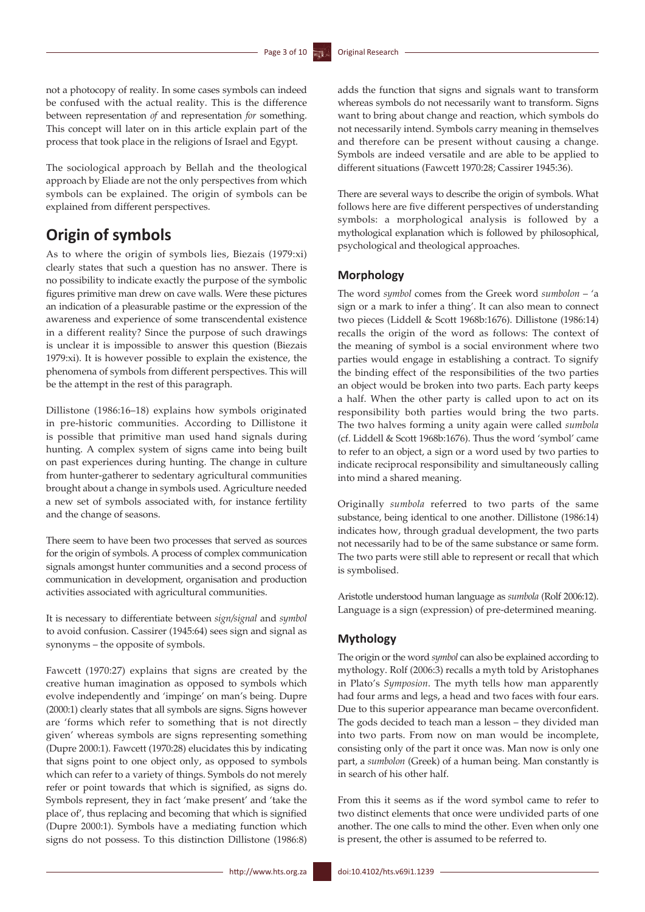not a photocopy of reality. In some cases symbols can indeed be confused with the actual reality. This is the difference between representation *of* and representation *for* something. This concept will later on in this article explain part of the process that took place in the religions of Israel and Egypt.

The sociological approach by Bellah and the theological approach by Eliade are not the only perspectives from which symbols can be explained. The origin of symbols can be explained from different perspectives.

# **Origin of symbols**

As to where the origin of symbols lies, Biezais (1979:xi) clearly states that such a question has no answer. There is no possibility to indicate exactly the purpose of the symbolic figures primitive man drew on cave walls. Were these pictures an indication of a pleasurable pastime or the expression of the awareness and experience of some transcendental existence in a different reality? Since the purpose of such drawings is unclear it is impossible to answer this question (Biezais 1979:xi). It is however possible to explain the existence, the phenomena of symbols from different perspectives. This will be the attempt in the rest of this paragraph.

Dillistone (1986:16–18) explains how symbols originated in pre-historic communities. According to Dillistone it is possible that primitive man used hand signals during hunting. A complex system of signs came into being built on past experiences during hunting. The change in culture from hunter-gatherer to sedentary agricultural communities brought about a change in symbols used. Agriculture needed a new set of symbols associated with, for instance fertility and the change of seasons.

There seem to have been two processes that served as sources for the origin of symbols. A process of complex communication signals amongst hunter communities and a second process of communication in development, organisation and production activities associated with agricultural communities.

It is necessary to differentiate between *sign/signal* and *symbol*  to avoid confusion. Cassirer (1945:64) sees sign and signal as synonyms – the opposite of symbols.

Fawcett (1970:27) explains that signs are created by the creative human imagination as opposed to symbols which evolve independently and 'impinge' on man's being. Dupre (2000:1) clearly states that all symbols are signs. Signs however are 'forms which refer to something that is not directly given' whereas symbols are signs representing something (Dupre 2000:1). Fawcett (1970:28) elucidates this by indicating that signs point to one object only, as opposed to symbols which can refer to a variety of things. Symbols do not merely refer or point towards that which is signified, as signs do. Symbols represent, they in fact 'make present' and 'take the place of', thus replacing and becoming that which is signified (Dupre 2000:1). Symbols have a mediating function which signs do not possess. To this distinction Dillistone (1986:8)

adds the function that signs and signals want to transform whereas symbols do not necessarily want to transform. Signs want to bring about change and reaction, which symbols do not necessarily intend. Symbols carry meaning in themselves and therefore can be present without causing a change. Symbols are indeed versatile and are able to be applied to different situations (Fawcett 1970:28; Cassirer 1945:36).

There are several ways to describe the origin of symbols. What follows here are five different perspectives of understanding symbols: a morphological analysis is followed by a mythological explanation which is followed by philosophical, psychological and theological approaches.

### **Morphology**

The word *symbol* comes from the Greek word *sumbolon* – 'a sign or a mark to infer a thing'. It can also mean to connect two pieces (Liddell & Scott 1968b:1676). Dillistone (1986:14) recalls the origin of the word as follows: The context of the meaning of symbol is a social environment where two parties would engage in establishing a contract. To signify the binding effect of the responsibilities of the two parties an object would be broken into two parts. Each party keeps a half. When the other party is called upon to act on its responsibility both parties would bring the two parts. The two halves forming a unity again were called *sumbola*  (cf. Liddell & Scott 1968b:1676). Thus the word 'symbol' came to refer to an object, a sign or a word used by two parties to indicate reciprocal responsibility and simultaneously calling into mind a shared meaning.

Originally *sumbola* referred to two parts of the same substance, being identical to one another. Dillistone (1986:14) indicates how, through gradual development, the two parts not necessarily had to be of the same substance or same form. The two parts were still able to represent or recall that which is symbolised.

Aristotle understood human language as *sumbola* (Rolf 2006:12). Language is a sign (expression) of pre-determined meaning.

### **Mythology**

The origin or the word *symbol* can also be explained according to mythology. Rolf (2006:3) recalls a myth told by Aristophanes in Plato's *Symposion*. The myth tells how man apparently had four arms and legs, a head and two faces with four ears. Due to this superior appearance man became overconfident. The gods decided to teach man a lesson – they divided man into two parts. From now on man would be incomplete, consisting only of the part it once was. Man now is only one part, a *sumbolon* (Greek) of a human being. Man constantly is in search of his other half.

From this it seems as if the word symbol came to refer to two distinct elements that once were undivided parts of one another. The one calls to mind the other. Even when only one is present, the other is assumed to be referred to.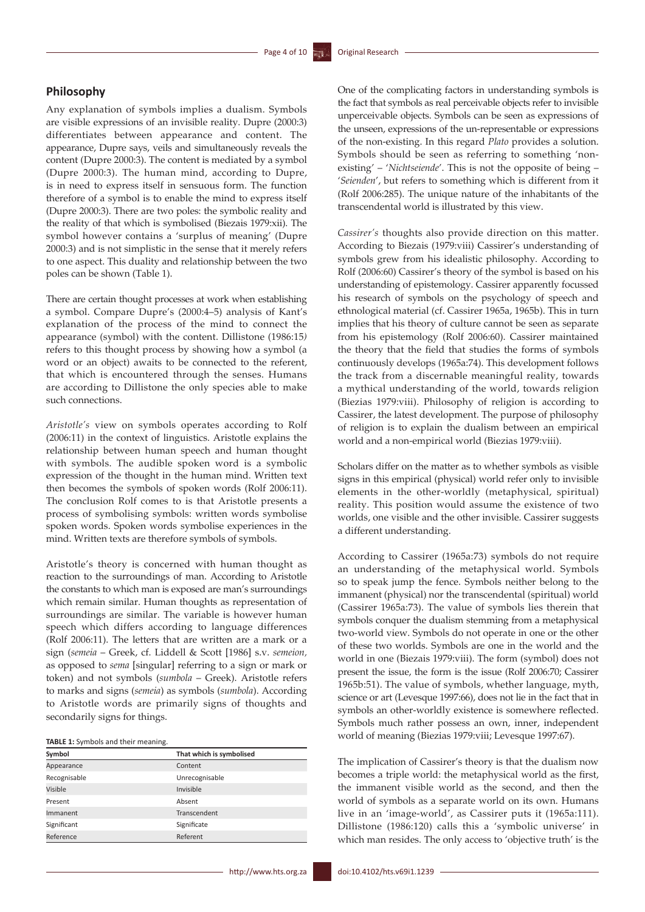### **Philosophy**

Any explanation of symbols implies a dualism. Symbols are visible expressions of an invisible reality. Dupre (2000:3) differentiates between appearance and content. The appearance, Dupre says, veils and simultaneously reveals the content (Dupre 2000:3). The content is mediated by a symbol (Dupre 2000:3). The human mind, according to Dupre, is in need to express itself in sensuous form. The function therefore of a symbol is to enable the mind to express itself (Dupre 2000:3). There are two poles: the symbolic reality and the reality of that which is symbolised (Biezais 1979:xii). The symbol however contains a 'surplus of meaning' (Dupre 2000:3) and is not simplistic in the sense that it merely refers to one aspect. This duality and relationship between the two poles can be shown (Table 1).

There are certain thought processes at work when establishing a symbol. Compare Dupre's (2000:4–5) analysis of Kant's explanation of the process of the mind to connect the appearance (symbol) with the content. Dillistone (1986:15*)*  refers to this thought process by showing how a symbol (a word or an object) awaits to be connected to the referent, that which is encountered through the senses. Humans are according to Dillistone the only species able to make such connections.

*Aristotle's* view on symbols operates according to Rolf (2006:11) in the context of linguistics. Aristotle explains the relationship between human speech and human thought with symbols. The audible spoken word is a symbolic expression of the thought in the human mind. Written text then becomes the symbols of spoken words (Rolf 2006:11). The conclusion Rolf comes to is that Aristotle presents a process of symbolising symbols: written words symbolise spoken words. Spoken words symbolise experiences in the mind. Written texts are therefore symbols of symbols.

Aristotle's theory is concerned with human thought as reaction to the surroundings of man. According to Aristotle the constants to which man is exposed are man's surroundings which remain similar. Human thoughts as representation of surroundings are similar. The variable is however human speech which differs according to language differences (Rolf 2006:11). The letters that are written are a mark or a sign (*semeia* – Greek, cf. Liddell & Scott [1986] s.v. *semeion,*  as opposed to *sema* [singular] referring to a sign or mark or token) and not symbols (*sumbola* – Greek). Aristotle refers to marks and signs (*semeia*) as symbols (*sumbola*). According to Aristotle words are primarily signs of thoughts and secondarily signs for things.

#### **TABLE 1:** Symbols and their meaning.

| Symbol       | That which is symbolised |
|--------------|--------------------------|
| Appearance   | Content                  |
| Recognisable | Unrecognisable           |
| Visible      | Invisible                |
| Present      | Absent                   |
| Immanent     | Transcendent             |
| Significant  | Significate              |
| Reference    | Referent                 |

One of the complicating factors in understanding symbols is the fact that symbols as real perceivable objects refer to invisible unperceivable objects. Symbols can be seen as expressions of the unseen, expressions of the un-representable or expressions of the non-existing. In this regard *Plato* provides a solution. Symbols should be seen as referring to something 'nonexisting' – '*Nichtseiende*'. This is not the opposite of being – '*Seienden*', but refers to something which is different from it (Rolf 2006:285). The unique nature of the inhabitants of the transcendental world is illustrated by this view.

*Cassirer's* thoughts also provide direction on this matter. According to Biezais (1979:viii) Cassirer's understanding of symbols grew from his idealistic philosophy. According to Rolf (2006:60) Cassirer's theory of the symbol is based on his understanding of epistemology. Cassirer apparently focussed his research of symbols on the psychology of speech and ethnological material (cf. Cassirer 1965a, 1965b). This in turn implies that his theory of culture cannot be seen as separate from his epistemology (Rolf 2006:60). Cassirer maintained the theory that the field that studies the forms of symbols continuously develops (1965a:74). This development follows the track from a discernable meaningful reality, towards a mythical understanding of the world, towards religion (Biezias 1979:viii). Philosophy of religion is according to Cassirer, the latest development. The purpose of philosophy of religion is to explain the dualism between an empirical world and a non-empirical world (Biezias 1979:viii).

Scholars differ on the matter as to whether symbols as visible signs in this empirical (physical) world refer only to invisible elements in the other-worldly (metaphysical, spiritual) reality. This position would assume the existence of two worlds, one visible and the other invisible. Cassirer suggests a different understanding.

According to Cassirer (1965a:73) symbols do not require an understanding of the metaphysical world. Symbols so to speak jump the fence. Symbols neither belong to the immanent (physical) nor the transcendental (spiritual) world (Cassirer 1965a:73). The value of symbols lies therein that symbols conquer the dualism stemming from a metaphysical two-world view. Symbols do not operate in one or the other of these two worlds. Symbols are one in the world and the world in one (Biezais 1979:viii). The form (symbol) does not present the issue, the form is the issue (Rolf 2006:70; Cassirer 1965b:51). The value of symbols, whether language, myth, science or art (Levesque 1997:66), does not lie in the fact that in symbols an other-worldly existence is somewhere reflected. Symbols much rather possess an own, inner, independent world of meaning (Biezias 1979:viii; Levesque 1997:67).

The implication of Cassirer's theory is that the dualism now becomes a triple world: the metaphysical world as the first, the immanent visible world as the second, and then the world of symbols as a separate world on its own. Humans live in an 'image-world', as Cassirer puts it (1965a:111). Dillistone (1986:120) calls this a 'symbolic universe' in which man resides. The only access to 'objective truth' is the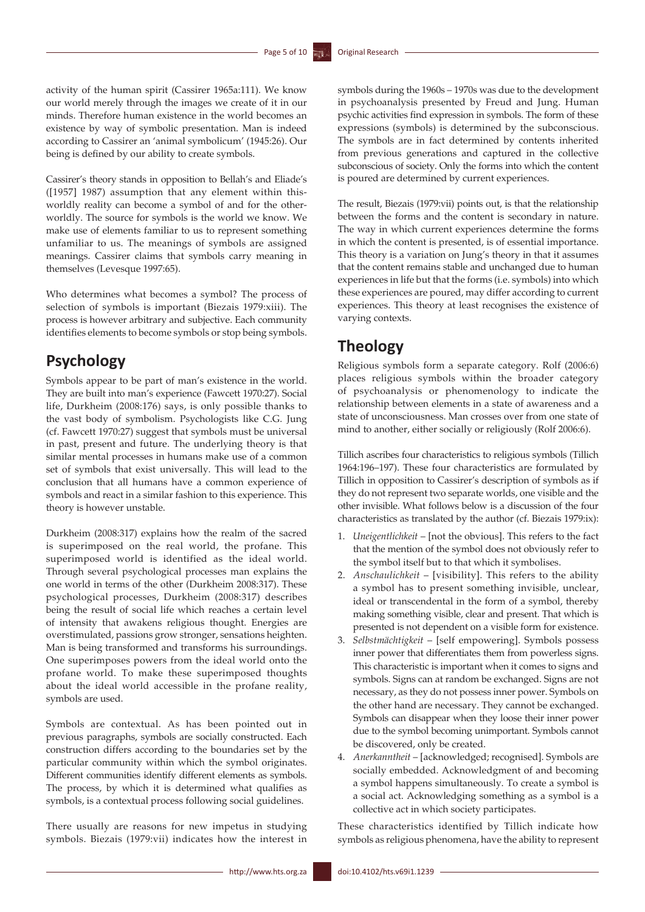activity of the human spirit (Cassirer 1965a:111). We know our world merely through the images we create of it in our minds. Therefore human existence in the world becomes an existence by way of symbolic presentation. Man is indeed according to Cassirer an 'animal symbolicum' (1945:26). Our being is defined by our ability to create symbols.

Cassirer's theory stands in opposition to Bellah's and Eliade's ([1957] 1987) assumption that any element within thisworldly reality can become a symbol of and for the otherworldly. The source for symbols is the world we know. We make use of elements familiar to us to represent something unfamiliar to us. The meanings of symbols are assigned meanings. Cassirer claims that symbols carry meaning in themselves (Levesque 1997:65).

Who determines what becomes a symbol? The process of selection of symbols is important (Biezais 1979:xiii). The process is however arbitrary and subjective. Each community identifies elements to become symbols or stop being symbols.

# **Psychology**

Symbols appear to be part of man's existence in the world. They are built into man's experience (Fawcett 1970:27). Social life, Durkheim (2008:176) says, is only possible thanks to the vast body of symbolism. Psychologists like C.G. Jung (cf. Fawcett 1970:27) suggest that symbols must be universal in past, present and future. The underlying theory is that similar mental processes in humans make use of a common set of symbols that exist universally. This will lead to the conclusion that all humans have a common experience of symbols and react in a similar fashion to this experience. This theory is however unstable.

Durkheim (2008:317) explains how the realm of the sacred is superimposed on the real world, the profane. This superimposed world is identified as the ideal world. Through several psychological processes man explains the one world in terms of the other (Durkheim 2008:317). These psychological processes, Durkheim (2008:317) describes being the result of social life which reaches a certain level of intensity that awakens religious thought. Energies are overstimulated, passions grow stronger, sensations heighten. Man is being transformed and transforms his surroundings. One superimposes powers from the ideal world onto the profane world. To make these superimposed thoughts about the ideal world accessible in the profane reality, symbols are used.

Symbols are contextual. As has been pointed out in previous paragraphs, symbols are socially constructed. Each construction differs according to the boundaries set by the particular community within which the symbol originates. Different communities identify different elements as symbols. The process, by which it is determined what qualifies as symbols, is a contextual process following social guidelines.

There usually are reasons for new impetus in studying symbols. Biezais (1979:vii) indicates how the interest in

symbols during the 1960s – 1970s was due to the development in psychoanalysis presented by Freud and Jung. Human psychic activities find expression in symbols. The form of these expressions (symbols) is determined by the subconscious. The symbols are in fact determined by contents inherited from previous generations and captured in the collective subconscious of society. Only the forms into which the content is poured are determined by current experiences.

The result, Biezais (1979:vii) points out, is that the relationship between the forms and the content is secondary in nature. The way in which current experiences determine the forms in which the content is presented, is of essential importance. This theory is a variation on Jung's theory in that it assumes that the content remains stable and unchanged due to human experiences in life but that the forms (i.e. symbols) into which these experiences are poured, may differ according to current experiences. This theory at least recognises the existence of varying contexts.

# **Theology**

Religious symbols form a separate category. Rolf (2006:6) places religious symbols within the broader category of psychoanalysis or phenomenology to indicate the relationship between elements in a state of awareness and a state of unconsciousness. Man crosses over from one state of mind to another, either socially or religiously (Rolf 2006:6).

Tillich ascribes four characteristics to religious symbols (Tillich 1964:196–197). These four characteristics are formulated by Tillich in opposition to Cassirer's description of symbols as if they do not represent two separate worlds, one visible and the other invisible. What follows below is a discussion of the four characteristics as translated by the author (cf. Biezais 1979:ix):

- 1. *Uneigentlichkeit* [not the obvious]. This refers to the fact that the mention of the symbol does not obviously refer to the symbol itself but to that which it symbolises.
- 2. *Anschaulichkeit* [visibility]. This refers to the ability a symbol has to present something invisible, unclear, ideal or transcendental in the form of a symbol, thereby making something visible, clear and present. That which is presented is not dependent on a visible form for existence.
- 3. *Selbstmächtigkeit* [self empowering]. Symbols possess inner power that differentiates them from powerless signs. This characteristic is important when it comes to signs and symbols. Signs can at random be exchanged. Signs are not necessary, as they do not possess inner power. Symbols on the other hand are necessary. They cannot be exchanged. Symbols can disappear when they loose their inner power due to the symbol becoming unimportant. Symbols cannot be discovered, only be created.
- 4. *Anerkanntheit* [acknowledged; recognised]. Symbols are socially embedded. Acknowledgment of and becoming a symbol happens simultaneously. To create a symbol is a social act. Acknowledging something as a symbol is a collective act in which society participates.

These characteristics identified by Tillich indicate how symbols as religious phenomena, have the ability to represent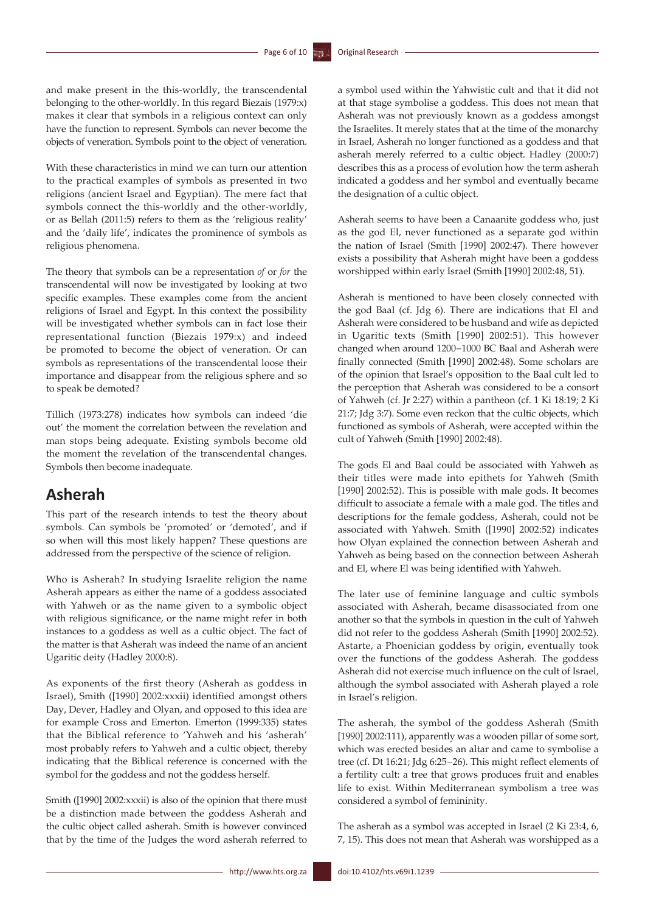and make present in the this-worldly, the transcendental belonging to the other-worldly. In this regard Biezais (1979:x) makes it clear that symbols in a religious context can only have the function to represent. Symbols can never become the objects of veneration. Symbols point to the object of veneration.

With these characteristics in mind we can turn our attention to the practical examples of symbols as presented in two religions (ancient Israel and Egyptian). The mere fact that symbols connect the this-worldly and the other-worldly, or as Bellah (2011:5) refers to them as the 'religious reality' and the 'daily life', indicates the prominence of symbols as religious phenomena.

The theory that symbols can be a representation *of* or *for* the transcendental will now be investigated by looking at two specific examples. These examples come from the ancient religions of Israel and Egypt. In this context the possibility will be investigated whether symbols can in fact lose their representational function (Biezais 1979:x) and indeed be promoted to become the object of veneration. Or can symbols as representations of the transcendental loose their importance and disappear from the religious sphere and so to speak be demoted?

Tillich (1973:278) indicates how symbols can indeed 'die out' the moment the correlation between the revelation and man stops being adequate. Existing symbols become old the moment the revelation of the transcendental changes. Symbols then become inadequate.

## **Asherah**

This part of the research intends to test the theory about symbols. Can symbols be 'promoted' or 'demoted', and if so when will this most likely happen? These questions are addressed from the perspective of the science of religion.

Who is Asherah? In studying Israelite religion the name Asherah appears as either the name of a goddess associated with Yahweh or as the name given to a symbolic object with religious significance, or the name might refer in both instances to a goddess as well as a cultic object. The fact of the matter is that Asherah was indeed the name of an ancient Ugaritic deity (Hadley 2000:8).

As exponents of the first theory (Asherah as goddess in Israel), Smith ([1990] 2002:xxxii) identified amongst others Day, Dever, Hadley and Olyan, and opposed to this idea are for example Cross and Emerton. Emerton (1999:335) states that the Biblical reference to 'Yahweh and his 'asherah' most probably refers to Yahweh and a cultic object, thereby indicating that the Biblical reference is concerned with the symbol for the goddess and not the goddess herself.

Smith ([1990] 2002:xxxii) is also of the opinion that there must be a distinction made between the goddess Asherah and the cultic object called asherah. Smith is however convinced that by the time of the Judges the word asherah referred to

a symbol used within the Yahwistic cult and that it did not at that stage symbolise a goddess. This does not mean that Asherah was not previously known as a goddess amongst the Israelites. It merely states that at the time of the monarchy in Israel, Asherah no longer functioned as a goddess and that asherah merely referred to a cultic object. Hadley (2000:7) describes this as a process of evolution how the term asherah indicated a goddess and her symbol and eventually became the designation of a cultic object.

Asherah seems to have been a Canaanite goddess who, just as the god El, never functioned as a separate god within the nation of Israel (Smith [1990] 2002:47). There however exists a possibility that Asherah might have been a goddess worshipped within early Israel (Smith [1990] 2002:48, 51).

Asherah is mentioned to have been closely connected with the god Baal (cf. Jdg 6). There are indications that El and Asherah were considered to be husband and wife as depicted in Ugaritic texts (Smith [1990] 2002:51). This however changed when around 1200−1000 BC Baal and Asherah were finally connected (Smith [1990] 2002:48). Some scholars are of the opinion that Israel's opposition to the Baal cult led to the perception that Asherah was considered to be a consort of Yahweh (cf. Jr 2:27) within a pantheon (cf. 1 Ki 18:19; 2 Ki 21:7; Jdg 3:7). Some even reckon that the cultic objects, which functioned as symbols of Asherah, were accepted within the cult of Yahweh (Smith [1990] 2002:48).

The gods El and Baal could be associated with Yahweh as their titles were made into epithets for Yahweh (Smith [1990] 2002:52). This is possible with male gods. It becomes difficult to associate a female with a male god. The titles and descriptions for the female goddess, Asherah, could not be associated with Yahweh. Smith ([1990] 2002:52) indicates how Olyan explained the connection between Asherah and Yahweh as being based on the connection between Asherah and El, where El was being identified with Yahweh.

The later use of feminine language and cultic symbols associated with Asherah, became disassociated from one another so that the symbols in question in the cult of Yahweh did not refer to the goddess Asherah (Smith [1990] 2002:52). Astarte, a Phoenician goddess by origin, eventually took over the functions of the goddess Asherah. The goddess Asherah did not exercise much influence on the cult of Israel, although the symbol associated with Asherah played a role in Israel's religion.

The asherah, the symbol of the goddess Asherah (Smith [1990] 2002:111), apparently was a wooden pillar of some sort, which was erected besides an altar and came to symbolise a tree (cf. Dt 16:21; Jdg 6:25−26). This might reflect elements of a fertility cult: a tree that grows produces fruit and enables life to exist. Within Mediterranean symbolism a tree was considered a symbol of femininity.

The asherah as a symbol was accepted in Israel (2 Ki 23:4, 6, 7, 15). This does not mean that Asherah was worshipped as a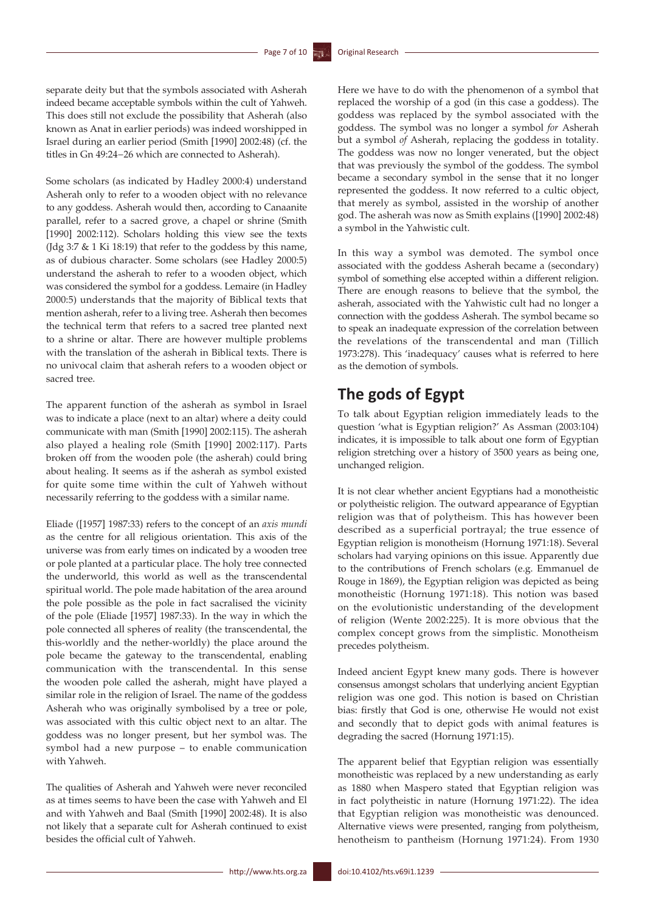separate deity but that the symbols associated with Asherah indeed became acceptable symbols within the cult of Yahweh. This does still not exclude the possibility that Asherah (also known as Anat in earlier periods) was indeed worshipped in Israel during an earlier period (Smith [1990] 2002:48) (cf. the titles in Gn 49:24−26 which are connected to Asherah).

Some scholars (as indicated by Hadley 2000:4) understand Asherah only to refer to a wooden object with no relevance to any goddess. Asherah would then, according to Canaanite parallel, refer to a sacred grove, a chapel or shrine (Smith [1990] 2002:112). Scholars holding this view see the texts (Jdg 3:7 & 1 Ki 18:19) that refer to the goddess by this name, as of dubious character. Some scholars (see Hadley 2000:5) understand the asherah to refer to a wooden object, which was considered the symbol for a goddess. Lemaire (in Hadley 2000:5) understands that the majority of Biblical texts that mention asherah, refer to a living tree. Asherah then becomes the technical term that refers to a sacred tree planted next to a shrine or altar. There are however multiple problems with the translation of the asherah in Biblical texts. There is no univocal claim that asherah refers to a wooden object or sacred tree.

The apparent function of the asherah as symbol in Israel was to indicate a place (next to an altar) where a deity could communicate with man (Smith [1990] 2002:115). The asherah also played a healing role (Smith [1990] 2002:117). Parts broken off from the wooden pole (the asherah) could bring about healing. It seems as if the asherah as symbol existed for quite some time within the cult of Yahweh without necessarily referring to the goddess with a similar name.

Eliade ([1957] 1987:33) refers to the concept of an *axis mundi* as the centre for all religious orientation. This axis of the universe was from early times on indicated by a wooden tree or pole planted at a particular place. The holy tree connected the underworld, this world as well as the transcendental spiritual world. The pole made habitation of the area around the pole possible as the pole in fact sacralised the vicinity of the pole (Eliade [1957] 1987:33). In the way in which the pole connected all spheres of reality (the transcendental, the this-worldly and the nether-worldly) the place around the pole became the gateway to the transcendental, enabling communication with the transcendental. In this sense the wooden pole called the asherah, might have played a similar role in the religion of Israel. The name of the goddess Asherah who was originally symbolised by a tree or pole, was associated with this cultic object next to an altar. The goddess was no longer present, but her symbol was. The symbol had a new purpose – to enable communication with Yahweh.

The qualities of Asherah and Yahweh were never reconciled as at times seems to have been the case with Yahweh and El and with Yahweh and Baal (Smith [1990] 2002:48). It is also not likely that a separate cult for Asherah continued to exist besides the official cult of Yahweh.

Here we have to do with the phenomenon of a symbol that replaced the worship of a god (in this case a goddess). The goddess was replaced by the symbol associated with the goddess. The symbol was no longer a symbol *for* Asherah but a symbol *of* Asherah, replacing the goddess in totality. The goddess was now no longer venerated, but the object that was previously the symbol of the goddess. The symbol became a secondary symbol in the sense that it no longer represented the goddess. It now referred to a cultic object, that merely as symbol, assisted in the worship of another god. The asherah was now as Smith explains ([1990] 2002:48) a symbol in the Yahwistic cult.

In this way a symbol was demoted. The symbol once associated with the goddess Asherah became a (secondary) symbol of something else accepted within a different religion. There are enough reasons to believe that the symbol, the asherah, associated with the Yahwistic cult had no longer a connection with the goddess Asherah. The symbol became so to speak an inadequate expression of the correlation between the revelations of the transcendental and man (Tillich 1973:278). This 'inadequacy' causes what is referred to here as the demotion of symbols.

# **The gods of Egypt**

To talk about Egyptian religion immediately leads to the question 'what is Egyptian religion?' As Assman (2003:104) indicates, it is impossible to talk about one form of Egyptian religion stretching over a history of 3500 years as being one, unchanged religion.

It is not clear whether ancient Egyptians had a monotheistic or polytheistic religion. The outward appearance of Egyptian religion was that of polytheism. This has however been described as a superficial portrayal; the true essence of Egyptian religion is monotheism (Hornung 1971:18). Several scholars had varying opinions on this issue. Apparently due to the contributions of French scholars (e.g. Emmanuel de Rouge in 1869), the Egyptian religion was depicted as being monotheistic (Hornung 1971:18). This notion was based on the evolutionistic understanding of the development of religion (Wente 2002:225). It is more obvious that the complex concept grows from the simplistic. Monotheism precedes polytheism.

Indeed ancient Egypt knew many gods. There is however consensus amongst scholars that underlying ancient Egyptian religion was one god. This notion is based on Christian bias: firstly that God is one, otherwise He would not exist and secondly that to depict gods with animal features is degrading the sacred (Hornung 1971:15).

The apparent belief that Egyptian religion was essentially monotheistic was replaced by a new understanding as early as 1880 when Maspero stated that Egyptian religion was in fact polytheistic in nature (Hornung 1971:22). The idea that Egyptian religion was monotheistic was denounced. Alternative views were presented, ranging from polytheism, henotheism to pantheism (Hornung 1971:24). From 1930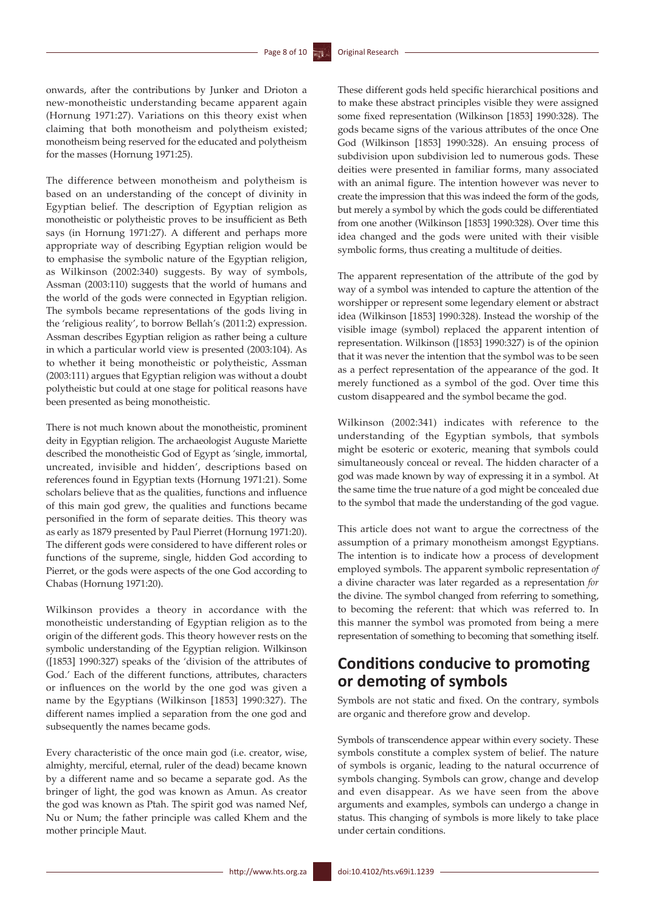onwards, after the contributions by Junker and Drioton a new-monotheistic understanding became apparent again (Hornung 1971:27). Variations on this theory exist when claiming that both monotheism and polytheism existed; monotheism being reserved for the educated and polytheism for the masses (Hornung 1971:25).

The difference between monotheism and polytheism is based on an understanding of the concept of divinity in Egyptian belief. The description of Egyptian religion as monotheistic or polytheistic proves to be insufficient as Beth says (in Hornung 1971:27). A different and perhaps more appropriate way of describing Egyptian religion would be to emphasise the symbolic nature of the Egyptian religion, as Wilkinson (2002:340) suggests. By way of symbols, Assman (2003:110) suggests that the world of humans and the world of the gods were connected in Egyptian religion. The symbols became representations of the gods living in the 'religious reality', to borrow Bellah's (2011:2) expression. Assman describes Egyptian religion as rather being a culture in which a particular world view is presented (2003:104). As to whether it being monotheistic or polytheistic, Assman (2003:111) argues that Egyptian religion was without a doubt polytheistic but could at one stage for political reasons have been presented as being monotheistic.

There is not much known about the monotheistic, prominent deity in Egyptian religion. The archaeologist Auguste Mariette described the monotheistic God of Egypt as 'single, immortal, uncreated, invisible and hidden', descriptions based on references found in Egyptian texts (Hornung 1971:21). Some scholars believe that as the qualities, functions and influence of this main god grew, the qualities and functions became personified in the form of separate deities. This theory was as early as 1879 presented by Paul Pierret (Hornung 1971:20). The different gods were considered to have different roles or functions of the supreme, single, hidden God according to Pierret, or the gods were aspects of the one God according to Chabas (Hornung 1971:20).

Wilkinson provides a theory in accordance with the monotheistic understanding of Egyptian religion as to the origin of the different gods. This theory however rests on the symbolic understanding of the Egyptian religion. Wilkinson ([1853] 1990:327) speaks of the 'division of the attributes of God.' Each of the different functions, attributes, characters or influences on the world by the one god was given a name by the Egyptians (Wilkinson [1853] 1990:327). The different names implied a separation from the one god and subsequently the names became gods.

Every characteristic of the once main god (i.e. creator, wise, almighty, merciful, eternal, ruler of the dead) became known by a different name and so became a separate god. As the bringer of light, the god was known as Amun. As creator the god was known as Ptah. The spirit god was named Nef, Nu or Num; the father principle was called Khem and the mother principle Maut.

These different gods held specific hierarchical positions and to make these abstract principles visible they were assigned some fixed representation (Wilkinson [1853] 1990:328). The gods became signs of the various attributes of the once One God (Wilkinson [1853] 1990:328). An ensuing process of subdivision upon subdivision led to numerous gods. These deities were presented in familiar forms, many associated with an animal figure. The intention however was never to create the impression that this was indeed the form of the gods, but merely a symbol by which the gods could be differentiated from one another (Wilkinson [1853] 1990:328). Over time this idea changed and the gods were united with their visible symbolic forms, thus creating a multitude of deities.

The apparent representation of the attribute of the god by way of a symbol was intended to capture the attention of the worshipper or represent some legendary element or abstract idea (Wilkinson [1853] 1990:328). Instead the worship of the visible image (symbol) replaced the apparent intention of representation. Wilkinson ([1853] 1990:327) is of the opinion that it was never the intention that the symbol was to be seen as a perfect representation of the appearance of the god. It merely functioned as a symbol of the god. Over time this custom disappeared and the symbol became the god.

Wilkinson (2002:341) indicates with reference to the understanding of the Egyptian symbols, that symbols might be esoteric or exoteric, meaning that symbols could simultaneously conceal or reveal. The hidden character of a god was made known by way of expressing it in a symbol. At the same time the true nature of a god might be concealed due to the symbol that made the understanding of the god vague.

This article does not want to argue the correctness of the assumption of a primary monotheism amongst Egyptians. The intention is to indicate how a process of development employed symbols. The apparent symbolic representation *of* a divine character was later regarded as a representation *for* the divine. The symbol changed from referring to something, to becoming the referent: that which was referred to. In this manner the symbol was promoted from being a mere representation of something to becoming that something itself.

# **Conditions conducive to promoting or demoting of symbols**

Symbols are not static and fixed. On the contrary, symbols are organic and therefore grow and develop.

Symbols of transcendence appear within every society. These symbols constitute a complex system of belief. The nature of symbols is organic, leading to the natural occurrence of symbols changing. Symbols can grow, change and develop and even disappear. As we have seen from the above arguments and examples, symbols can undergo a change in status. This changing of symbols is more likely to take place under certain conditions.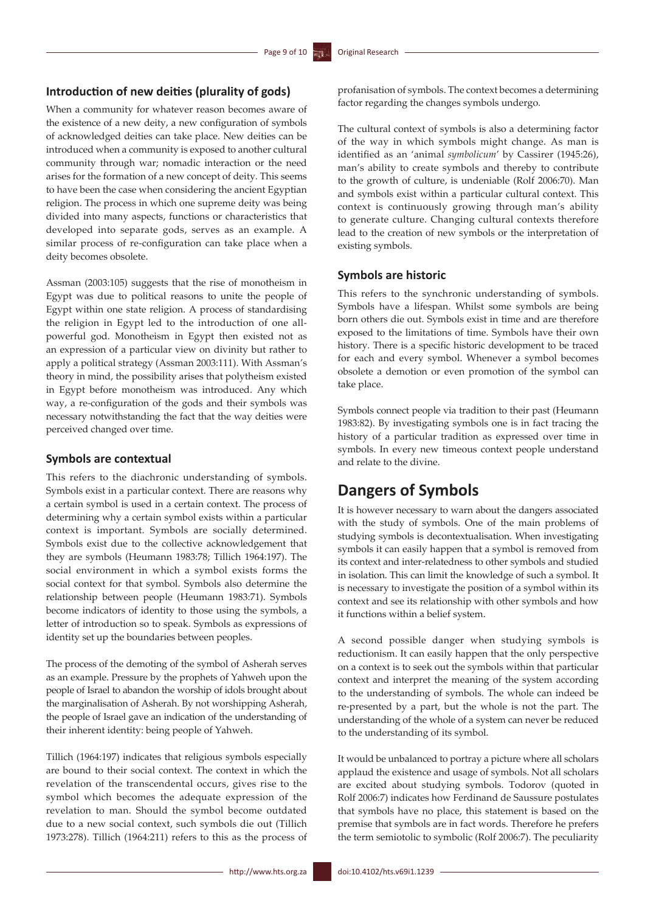### **Introduction of new deities (plurality of gods)**

When a community for whatever reason becomes aware of the existence of a new deity, a new configuration of symbols of acknowledged deities can take place. New deities can be introduced when a community is exposed to another cultural community through war; nomadic interaction or the need arises for the formation of a new concept of deity. This seems to have been the case when considering the ancient Egyptian religion. The process in which one supreme deity was being divided into many aspects, functions or characteristics that developed into separate gods, serves as an example. A similar process of re-configuration can take place when a deity becomes obsolete.

Assman (2003:105) suggests that the rise of monotheism in Egypt was due to political reasons to unite the people of Egypt within one state religion. A process of standardising the religion in Egypt led to the introduction of one allpowerful god. Monotheism in Egypt then existed not as an expression of a particular view on divinity but rather to apply a political strategy (Assman 2003:111). With Assman's theory in mind, the possibility arises that polytheism existed in Egypt before monotheism was introduced. Any which way, a re-configuration of the gods and their symbols was necessary notwithstanding the fact that the way deities were perceived changed over time.

### **Symbols are contextual**

This refers to the diachronic understanding of symbols. Symbols exist in a particular context. There are reasons why a certain symbol is used in a certain context. The process of determining why a certain symbol exists within a particular context is important. Symbols are socially determined. Symbols exist due to the collective acknowledgement that they are symbols (Heumann 1983:78; Tillich 1964:197). The social environment in which a symbol exists forms the social context for that symbol. Symbols also determine the relationship between people (Heumann 1983:71). Symbols become indicators of identity to those using the symbols, a letter of introduction so to speak. Symbols as expressions of identity set up the boundaries between peoples.

The process of the demoting of the symbol of Asherah serves as an example. Pressure by the prophets of Yahweh upon the people of Israel to abandon the worship of idols brought about the marginalisation of Asherah. By not worshipping Asherah, the people of Israel gave an indication of the understanding of their inherent identity: being people of Yahweh.

Tillich (1964:197) indicates that religious symbols especially are bound to their social context. The context in which the revelation of the transcendental occurs, gives rise to the symbol which becomes the adequate expression of the revelation to man. Should the symbol become outdated due to a new social context, such symbols die out (Tillich 1973:278). Tillich (1964:211) refers to this as the process of profanisation of symbols. The context becomes a determining factor regarding the changes symbols undergo.

The cultural context of symbols is also a determining factor of the way in which symbols might change. As man is identified as an 'animal *symbolicum*' by Cassirer (1945:26), man's ability to create symbols and thereby to contribute to the growth of culture, is undeniable (Rolf 2006:70). Man and symbols exist within a particular cultural context. This context is continuously growing through man's ability to generate culture. Changing cultural contexts therefore lead to the creation of new symbols or the interpretation of existing symbols.

### **Symbols are historic**

This refers to the synchronic understanding of symbols. Symbols have a lifespan. Whilst some symbols are being born others die out. Symbols exist in time and are therefore exposed to the limitations of time. Symbols have their own history. There is a specific historic development to be traced for each and every symbol. Whenever a symbol becomes obsolete a demotion or even promotion of the symbol can take place.

Symbols connect people via tradition to their past (Heumann 1983:82). By investigating symbols one is in fact tracing the history of a particular tradition as expressed over time in symbols. In every new timeous context people understand and relate to the divine.

### **Dangers of Symbols**

It is however necessary to warn about the dangers associated with the study of symbols. One of the main problems of studying symbols is decontextualisation. When investigating symbols it can easily happen that a symbol is removed from its context and inter-relatedness to other symbols and studied in isolation. This can limit the knowledge of such a symbol. It is necessary to investigate the position of a symbol within its context and see its relationship with other symbols and how it functions within a belief system.

A second possible danger when studying symbols is reductionism. It can easily happen that the only perspective on a context is to seek out the symbols within that particular context and interpret the meaning of the system according to the understanding of symbols. The whole can indeed be re-presented by a part, but the whole is not the part. The understanding of the whole of a system can never be reduced to the understanding of its symbol.

It would be unbalanced to portray a picture where all scholars applaud the existence and usage of symbols. Not all scholars are excited about studying symbols. Todorov (quoted in Rolf 2006:7) indicates how Ferdinand de Saussure postulates that symbols have no place, this statement is based on the premise that symbols are in fact words. Therefore he prefers the term semiotolic to symbolic (Rolf 2006:7). The peculiarity